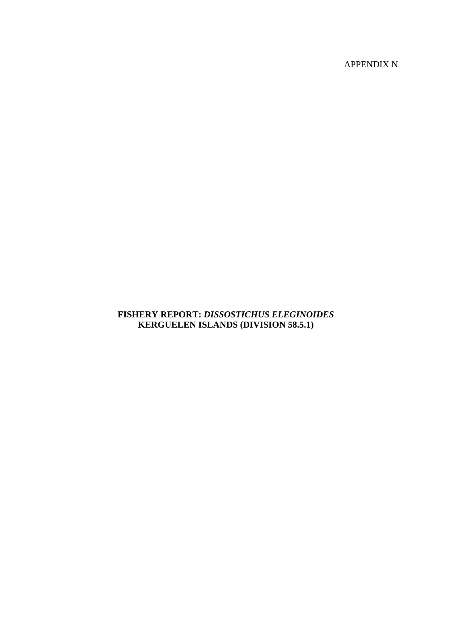APPENDIX N

# **FISHERY REPORT:** *DISSOSTICHUS ELEGINOIDES* **KERGUELEN ISLANDS (DIVISION 58.5.1)**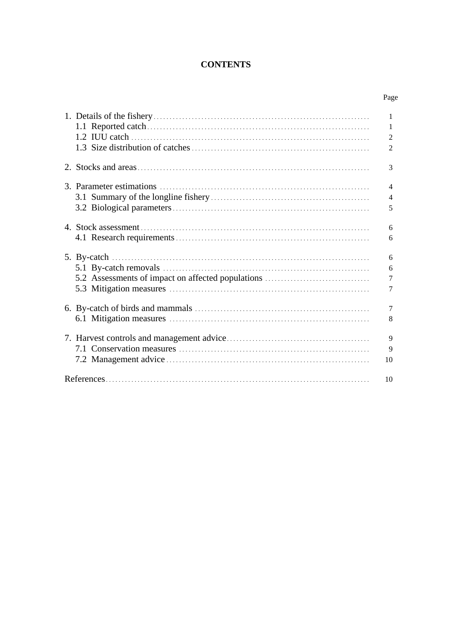# **CONTENTS**

Page

| 5.2 Assessments of impact on affected populations |
|---------------------------------------------------|
|                                                   |
|                                                   |
|                                                   |
|                                                   |
|                                                   |
|                                                   |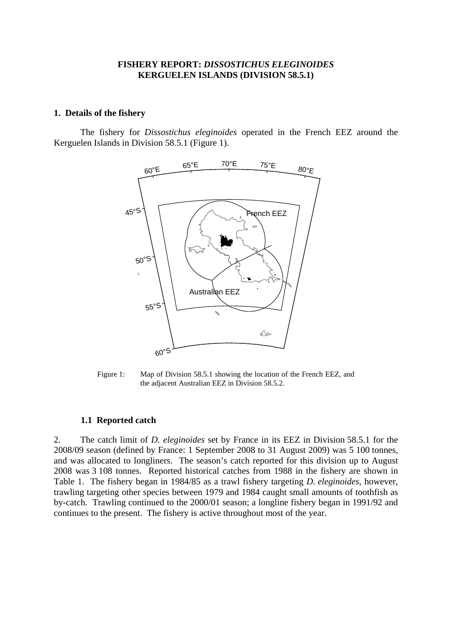### **FISHERY REPORT:** *DISSOSTICHUS ELEGINOIDES* **KERGUELEN ISLANDS (DIVISION 58.5.1)**

#### <span id="page-2-0"></span>**1. Details of the fishery**

The fishery for *Dissostichus eleginoides* operated in the French EEZ around the Kerguelen Islands in Division 58.5.1 (Figure 1).



Figure 1: Map of Division 58.5.1 showing the location of the French EEZ, and the adjacent Australian EEZ in Division 58.5.2.

#### **1.1 Reported catch**

2. The catch limit of *D. eleginoides* set by France in its EEZ in Division 58.5.1 for the 2008/09 season (defined by France: 1 September 2008 to 31 August 2009) was 5 100 tonnes, and was allocated to longliners. The season's catch reported for this division up to August 2008 was 3 108 tonnes. Reported historical catches from 1988 in the fishery are shown in Table 1. The fishery began in 1984/85 as a trawl fishery targeting *D. eleginoides*, however, trawling targeting other species between 1979 and 1984 caught small amounts of toothfish as by-catch. Trawling continued to the 2000/01 season; a longline fishery began in 1991/92 and continues to the present. The fishery is active throughout most of the year.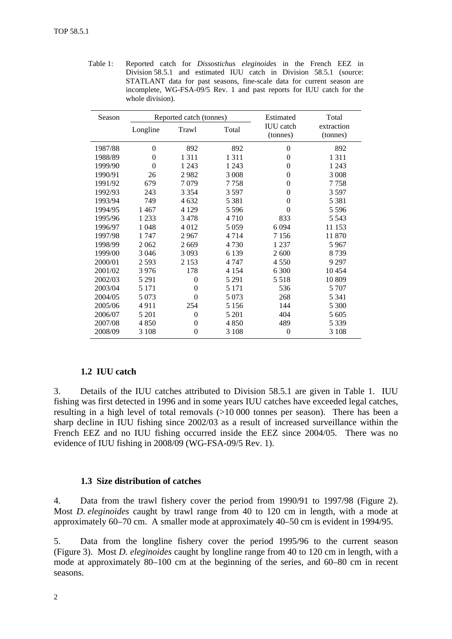<span id="page-3-0"></span>Table 1: Reported catch for *Dissostichus eleginoides* in the French EEZ in Division 58.5.1 and estimated IUU catch in Division 58.5.1 (source: STATLANT data for past seasons, fine-scale data for current season are incomplete, WG-FSA-09/5 Rev. 1 and past reports for IUU catch for the whole division).

| Season  |          | Reported catch (tonnes) |         | Estimated                    | Total                  |
|---------|----------|-------------------------|---------|------------------------------|------------------------|
|         | Longline | Trawl                   | Total   | <b>IUU</b> catch<br>(tonnes) | extraction<br>(tonnes) |
| 1987/88 | $\theta$ | 892                     | 892     | $\theta$                     | 892                    |
| 1988/89 | $\theta$ | 1 3 1 1                 | 1 3 1 1 | $\theta$                     | 1311                   |
| 1999/90 | $\theta$ | 1 2 4 3                 | 1 2 4 3 | $\theta$                     | 1 2 4 3                |
| 1990/91 | 26       | 2982                    | 3 0 0 8 | $\theta$                     | 3 0 0 8                |
| 1991/92 | 679      | 7079                    | 7758    | $\theta$                     | 7758                   |
| 1992/93 | 243      | 3 3 5 4                 | 3 5 9 7 | $\theta$                     | 3597                   |
| 1993/94 | 749      | 4 6 32                  | 5 3 8 1 | $\theta$                     | 5 3 8 1                |
| 1994/95 | 1467     | 4 1 2 9                 | 5 5 9 6 | $\theta$                     | 5 5 9 6                |
| 1995/96 | 1 2 3 3  | 3478                    | 4710    | 833                          | 5 5 4 3                |
| 1996/97 | 1 048    | 4 0 1 2                 | 5 0 5 9 | 6 0 9 4                      | 11 153                 |
| 1997/98 | 1 747    | 2967                    | 4 7 1 4 | 7 1 5 6                      | 11 870                 |
| 1998/99 | 2062     | 2669                    | 4 7 3 0 | 1 2 3 7                      | 5967                   |
| 1999/00 | 3 0 4 6  | 3 0 9 3                 | 6 1 3 9 | 2 600                        | 8739                   |
| 2000/01 | 2 5 9 3  | 2 1 5 3                 | 4 7 4 7 | 4 5 5 0                      | 9 2 9 7                |
| 2001/02 | 3976     | 178                     | 4 1 5 4 | 6 300                        | 10454                  |
| 2002/03 | 5 2 9 1  | $\theta$                | 5 2 9 1 | 5 5 1 8                      | 10 809                 |
| 2003/04 | 5 1 7 1  | $\theta$                | 5 1 7 1 | 536                          | 5 7 0 7                |
| 2004/05 | 5 0 7 3  | $\Omega$                | 5 0 7 3 | 268                          | 5 3 4 1                |
| 2005/06 | 4911     | 254                     | 5 1 5 6 | 144                          | 5 300                  |
| 2006/07 | 5 201    | $\theta$                | 5 201   | 404                          | 5 605                  |
| 2007/08 | 4 8 5 0  | $\Omega$                | 4 8 5 0 | 489                          | 5 3 3 9                |
| 2008/09 | 3 1 0 8  | $\theta$                | 3 1 0 8 | $\theta$                     | 3 1 0 8                |

### **1.2 IUU catch**

3. Details of the IUU catches attributed to Division 58.5.1 are given in Table 1. IUU fishing was first detected in 1996 and in some years IUU catches have exceeded legal catches, resulting in a high level of total removals (>10 000 tonnes per season). There has been a sharp decline in IUU fishing since 2002/03 as a result of increased surveillance within the French EEZ and no IUU fishing occurred inside the EEZ since 2004/05. There was no evidence of IUU fishing in 2008/09 (WG-FSA-09/5 Rev. 1).

### **1.3 Size distribution of catches**

4. Data from the trawl fishery cover the period from 1990/91 to 1997/98 (Figure 2). Most *D. eleginoides* caught by trawl range from 40 to 120 cm in length, with a mode at approximately 60–70 cm. A smaller mode at approximately 40–50 cm is evident in 1994/95.

5. Data from the longline fishery cover the period 1995/96 to the current season (Figure 3). Most *D. eleginoides* caught by longline range from 40 to 120 cm in length, with a mode at approximately 80–100 cm at the beginning of the series, and 60–80 cm in recent seasons.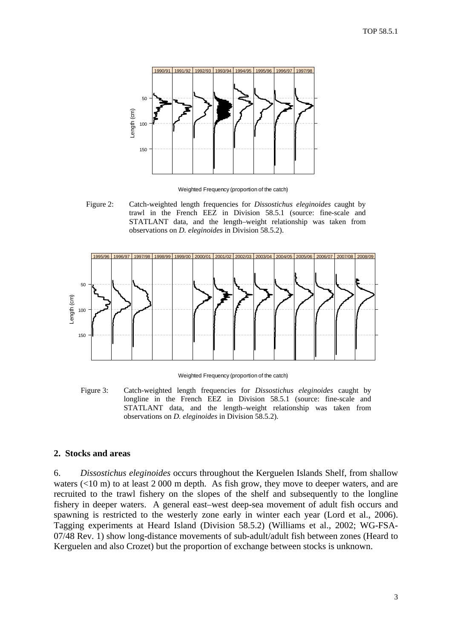<span id="page-4-0"></span>

Weighted Frequency (proportion of the catch)

Figure 2: Catch-weighted length frequencies for *Dissostichus eleginoides* caught by trawl in the French EEZ in Division 58.5.1 (source: fine-scale and STATLANT data, and the length–weight relationship was taken from observations on *D. eleginoides* in Division 58.5.2).



Weighted Frequency (proportion of the catch)

Figure 3: Catch-weighted length frequencies for *Dissostichus eleginoides* caught by longline in the French EEZ in Division 58.5.1 (source: fine-scale and STATLANT data, and the length–weight relationship was taken from observations on *D. eleginoides* in Division 58.5.2).

### **2. Stocks and areas**

6. *Dissostichus eleginoides* occurs throughout the Kerguelen Islands Shelf, from shallow waters  $\left($ <10 m) to at least 2 000 m depth. As fish grow, they move to deeper waters, and are recruited to the trawl fishery on the slopes of the shelf and subsequently to the longline fishery in deeper waters. A general east–west deep-sea movement of adult fish occurs and spawning is restricted to the westerly zone early in winter each year (Lord et al., 2006). Tagging experiments at Heard Island (Division 58.5.2) (Williams et al., 2002; WG-FSA-07/48 Rev. 1) show long-distance movements of sub-adult/adult fish between zones (Heard to Kerguelen and also Crozet) but the proportion of exchange between stocks is unknown.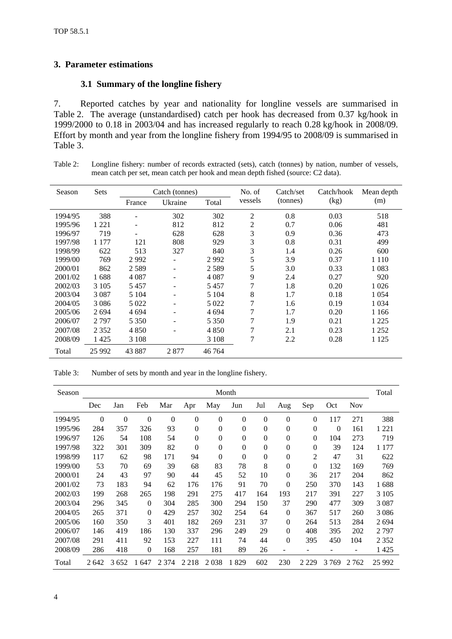# <span id="page-5-0"></span>**3. Parameter estimations**

### **3.1 Summary of the longline fishery**

7. Reported catches by year and nationality for longline vessels are summarised in Table 2. The average (unstandardised) catch per hook has decreased from 0.37 kg/hook in 1999/2000 to 0.18 in 2003/04 and has increased regularly to reach 0.28 kg/hook in 2008/09. Effort by month and year from the longline fishery from 1994/95 to 2008/09 is summarised in Table 3.

| Table 2: | Longline fishery: number of records extracted (sets), catch (tonnes) by nation, number of vessels, |
|----------|----------------------------------------------------------------------------------------------------|
|          | mean catch per set, mean catch per hook and mean depth fished (source: C2 data).                   |

| Season  | <b>Sets</b> |         | Catch (tonnes)               |         | No. of  | Catch/set | Catch/hook | Mean depth |
|---------|-------------|---------|------------------------------|---------|---------|-----------|------------|------------|
|         |             | France  | Ukraine                      | Total   | vessels | (tonnes)  | (kg)       | (m)        |
| 1994/95 | 388         |         | 302                          | 302     | 2       | 0.8       | 0.03       | 518        |
| 1995/96 | 1 2 2 1     | -       | 812                          | 812     | 2       | 0.7       | 0.06       | 481        |
| 1996/97 | 719         | ۰       | 628                          | 628     | 3       | 0.9       | 0.36       | 473        |
| 1997/98 | 1 177       | 121     | 808                          | 929     | 3       | 0.8       | 0.31       | 499        |
| 1998/99 | 622         | 513     | 327                          | 840     | 3       | 1.4       | 0.26       | 600        |
| 1999/00 | 769         | 2992    | $\overline{\phantom{a}}$     | 2992    | 5       | 3.9       | 0.37       | 1 1 1 0    |
| 2000/01 | 862         | 2589    | $\qquad \qquad \blacksquare$ | 2589    | 5       | 3.0       | 0.33       | 1 0 8 3    |
| 2001/02 | 1688        | 4 0 8 7 | $\overline{\phantom{a}}$     | 4 0 8 7 | 9       | 2.4       | 0.27       | 920        |
| 2002/03 | 3 1 0 5     | 5457    | $\qquad \qquad \blacksquare$ | 5457    | 7       | 1.8       | 0.20       | 1 0 2 6    |
| 2003/04 | 3 0 8 7     | 5 1 0 4 | -                            | 5 1 0 4 | 8       | 1.7       | 0.18       | 1 0 5 4    |
| 2004/05 | 3 0 8 6     | 5 0 2 2 | -                            | 5 0 2 2 | 7       | 1.6       | 0.19       | 1 0 3 4    |
| 2005/06 | 2694        | 4 6 9 4 | ۰                            | 4 6 9 4 | 7       | 1.7       | 0.20       | 1 1 6 6    |
| 2006/07 | 2797        | 5 3 5 0 | -                            | 5 3 5 0 | 7       | 1.9       | 0.21       | 1 2 2 5    |
| 2007/08 | 2 3 5 2     | 4850    | $\overline{\phantom{a}}$     | 4 8 5 0 | 7       | 2.1       | 0.23       | 1 2 5 2    |
| 2008/09 | 1425        | 3 1 0 8 |                              | 3 1 0 8 | 7       | 2.2       | 0.28       | 1 1 2 5    |
| Total   | 25 992      | 43 887  | 2877                         | 46 764  |         |           |            |            |

Table 3: Number of sets by month and year in the longline fishery.

| Season  | Month        |                |              |          |                |                |                |                  | Total            |          |          |            |         |
|---------|--------------|----------------|--------------|----------|----------------|----------------|----------------|------------------|------------------|----------|----------|------------|---------|
|         | Dec          | Jan            | Feb          | Mar      | Apr            | May            | Jun            | Jul              | Aug              | Sep      | Oct      | <b>Nov</b> |         |
| 1994/95 | $\mathbf{0}$ | $\overline{0}$ | $\mathbf{0}$ | $\Omega$ | $\overline{0}$ | $\overline{0}$ | $\mathbf{0}$   | $\overline{0}$   | $\overline{0}$   | $\theta$ | 117      | 271        | 388     |
| 1995/96 | 284          | 357            | 326          | 93       | $\Omega$       | $\overline{0}$ | $\mathbf{0}$   | $\theta$         | $\overline{0}$   | $\theta$ | $\Omega$ | 161        | 1 221   |
| 1996/97 | 126          | 54             | 108          | 54       | $\theta$       | $\overline{0}$ | $\overline{0}$ | $\theta$         | $\overline{0}$   | $\Omega$ | 104      | 273        | 719     |
| 1997/98 | 322          | 301            | 309          | 82       | $\Omega$       | $\theta$       | $\mathbf{0}$   | $\boldsymbol{0}$ | $\boldsymbol{0}$ | $\theta$ | 39       | 124        | 1 1 7 7 |
| 1998/99 | 117          | 62             | 98           | 171      | 94             | $\theta$       | $\Omega$       | $\overline{0}$   | $\boldsymbol{0}$ | 2        | 47       | 31         | 622     |
| 1999/00 | 53           | 70             | 69           | 39       | 68             | 83             | 78             | 8                | $\boldsymbol{0}$ | $\theta$ | 132      | 169        | 769     |
| 2000/01 | 24           | 43             | 97           | 90       | 44             | 45             | 52             | 10               | $\theta$         | 36       | 217      | 204        | 862     |
| 2001/02 | 73           | 183            | 94           | 62       | 176            | 176            | 91             | 70               | $\theta$         | 250      | 370      | 143        | 1688    |
| 2002/03 | 199          | 268            | 265          | 198      | 291            | 275            | 417            | 164              | 193              | 217      | 391      | 227        | 3 1 0 5 |
| 2003/04 | 296          | 345            | $\Omega$     | 304      | 285            | 300            | 294            | 150              | 37               | 290      | 477      | 309        | 3 0 8 7 |
| 2004/05 | 265          | 371            | $\mathbf{0}$ | 429      | 257            | 302            | 254            | 64               | $\mathbf{0}$     | 367      | 517      | 260        | 3086    |
| 2005/06 | 160          | 350            | 3            | 401      | 182            | 269            | 231            | 37               | $\overline{0}$   | 264      | 513      | 284        | 2694    |
| 2006/07 | 146          | 419            | 186          | 130      | 337            | 296            | 249            | 29               | $\overline{0}$   | 408      | 395      | 202        | 2797    |
| 2007/08 | 291          | 411            | 92           | 153      | 227            | 111            | 74             | 44               | $\theta$         | 395      | 450      | 104        | 2 3 5 2 |
| 2008/09 | 286          | 418            | $\theta$     | 168      | 257            | 181            | 89             | 26               |                  |          |          | ۰          | 1 425   |
| Total   | 2642         | 3652           | 1647         | 2 3 7 4  | 2 2 1 8        | 2038           | 1829           | 602              | 230              | 2 2 2 9  | 3769     | 2 7 6 2    | 25 9 92 |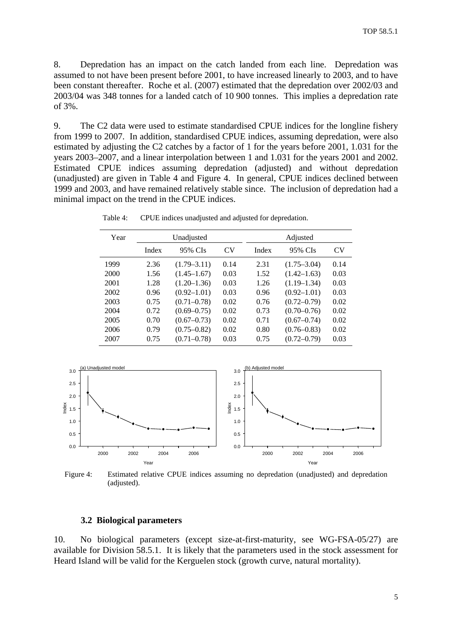<span id="page-6-0"></span>8. Depredation has an impact on the catch landed from each line. Depredation was assumed to not have been present before 2001, to have increased linearly to 2003, and to have been constant thereafter. Roche et al. (2007) estimated that the depredation over 2002/03 and 2003/04 was 348 tonnes for a landed catch of 10 900 tonnes. This implies a depredation rate of 3%.

9. The C2 data were used to estimate standardised CPUE indices for the longline fishery from 1999 to 2007. In addition, standardised CPUE indices, assuming depredation, were also estimated by adjusting the C2 catches by a factor of 1 for the years before 2001, 1.031 for the years 2003–2007, and a linear interpolation between 1 and 1.031 for the years 2001 and 2002. Estimated CPUE indices assuming depredation (adjusted) and without depredation (unadjusted) are given in Table 4 and Figure 4. In general, CPUE indices declined between 1999 and 2003, and have remained relatively stable since. The inclusion of depredation had a minimal impact on the trend in the CPUE indices.

| Year |       | Unadjusted      |      | Adjusted |                 |           |  |
|------|-------|-----------------|------|----------|-----------------|-----------|--|
|      | Index | 95% CIs         | CV   | Index    | 95% CIs         | <b>CV</b> |  |
| 1999 | 2.36  | $(1.79 - 3.11)$ | 0.14 | 2.31     | $(1.75 - 3.04)$ | 0.14      |  |
| 2000 | 1.56  | $(1.45 - 1.67)$ | 0.03 | 1.52     | $(1.42 - 1.63)$ | 0.03      |  |
| 2001 | 1.28  | $(1.20 - 1.36)$ | 0.03 | 1.26     | $(1.19 - 1.34)$ | 0.03      |  |
| 2002 | 0.96  | $(0.92 - 1.01)$ | 0.03 | 0.96     | $(0.92 - 1.01)$ | 0.03      |  |
| 2003 | 0.75  | $(0.71 - 0.78)$ | 0.02 | 0.76     | $(0.72 - 0.79)$ | 0.02      |  |
| 2004 | 0.72  | $(0.69 - 0.75)$ | 0.02 | 0.73     | $(0.70 - 0.76)$ | 0.02      |  |
| 2005 | 0.70  | $(0.67 - 0.73)$ | 0.02 | 0.71     | $(0.67 - 0.74)$ | 0.02      |  |
| 2006 | 0.79  | $(0.75 - 0.82)$ | 0.02 | 0.80     | $(0.76 - 0.83)$ | 0.02      |  |
| 2007 | 0.75  | $(0.71 - 0.78)$ | 0.03 | 0.75     | $(0.72 - 0.79)$ | 0.03      |  |

Table 4: CPUE indices unadjusted and adjusted for depredation.



Figure 4: Estimated relative CPUE indices assuming no depredation (unadjusted) and depredation (adjusted).

#### **3.2 Biological parameters**

10. No biological parameters (except size-at-first-maturity, see WG-FSA-05/27) are available for Division 58.5.1. It is likely that the parameters used in the stock assessment for Heard Island will be valid for the Kerguelen stock (growth curve, natural mortality).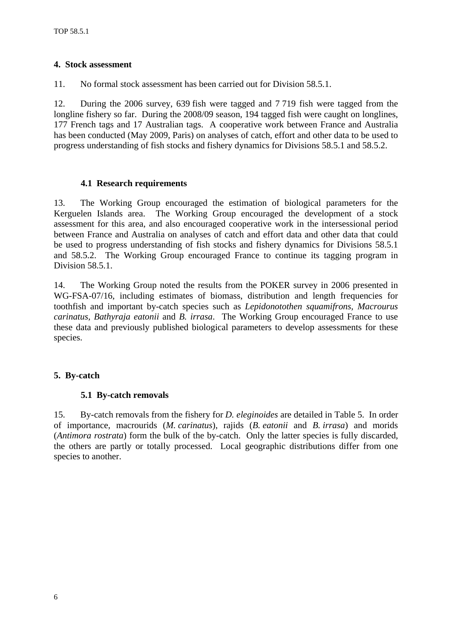# <span id="page-7-0"></span>**4. Stock assessment**

11. No formal stock assessment has been carried out for Division 58.5.1.

12. During the 2006 survey, 639 fish were tagged and 7 719 fish were tagged from the longline fishery so far. During the 2008/09 season, 194 tagged fish were caught on longlines, 177 French tags and 17 Australian tags. A cooperative work between France and Australia has been conducted (May 2009, Paris) on analyses of catch, effort and other data to be used to progress understanding of fish stocks and fishery dynamics for Divisions 58.5.1 and 58.5.2.

## **4.1 Research requirements**

13. The Working Group encouraged the estimation of biological parameters for the Kerguelen Islands area. The Working Group encouraged the development of a stock assessment for this area, and also encouraged cooperative work in the intersessional period between France and Australia on analyses of catch and effort data and other data that could be used to progress understanding of fish stocks and fishery dynamics for Divisions 58.5.1 and 58.5.2. The Working Group encouraged France to continue its tagging program in Division 58.5.1.

14. The Working Group noted the results from the POKER survey in 2006 presented in WG-FSA-07/16, including estimates of biomass, distribution and length frequencies for toothfish and important by-catch species such as *Lepidonotothen squamifrons, Macrourus carinatus, Bathyraja eatonii* and *B. irrasa*. The Working Group encouraged France to use these data and previously published biological parameters to develop assessments for these species.

# **5. By-catch**

# **5.1 By-catch removals**

15. By-catch removals from the fishery for *D. eleginoides* are detailed in Table 5. In order of importance, macrourids (*M. carinatus*), rajids (*B. eatonii* and *B. irrasa*) and morids (*Antimora rostrata*) form the bulk of the by-catch. Only the latter species is fully discarded, the others are partly or totally processed. Local geographic distributions differ from one species to another.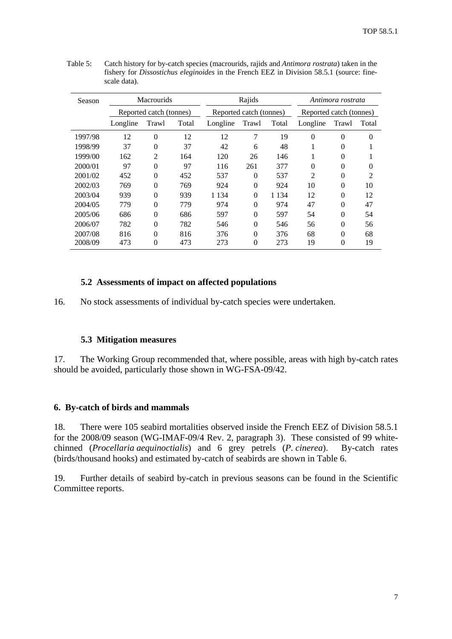| Season  | <b>Macrourids</b>       |                |       |          | Rajids                  |         |                | Antimora rostrata       |                |  |
|---------|-------------------------|----------------|-------|----------|-------------------------|---------|----------------|-------------------------|----------------|--|
|         | Reported catch (tonnes) |                |       |          | Reported catch (tonnes) |         |                | Reported catch (tonnes) |                |  |
|         | Longline                | Trawl          | Total | Longline | Trawl                   | Total   | Longline       | Trawl                   | Total          |  |
| 1997/98 | 12                      | $\overline{0}$ | 12    | 12       | 7                       | 19      | $\Omega$       | $\theta$                | $\theta$       |  |
| 1998/99 | 37                      | $\theta$       | 37    | 42       | 6                       | 48      |                | 0                       |                |  |
| 1999/00 | 162                     | $\overline{2}$ | 164   | 120      | 26                      | 146     |                | 0                       |                |  |
| 2000/01 | 97                      | $\theta$       | 97    | 116      | 261                     | 377     | $\Omega$       | 0                       | 0              |  |
| 2001/02 | 452                     | $\overline{0}$ | 452   | 537      | $\Omega$                | 537     | $\overline{c}$ | 0                       | $\overline{c}$ |  |
| 2002/03 | 769                     | $\theta$       | 769   | 924      | $\Omega$                | 924     | 10             | 0                       | 10             |  |
| 2003/04 | 939                     | $\theta$       | 939   | 1 1 3 4  | $\Omega$                | 1 1 3 4 | 12             | 0                       | 12             |  |
| 2004/05 | 779                     | $\theta$       | 779   | 974      | $\Omega$                | 974     | 47             | 0                       | 47             |  |
| 2005/06 | 686                     | $\theta$       | 686   | 597      | $\Omega$                | 597     | 54             | $\theta$                | 54             |  |
| 2006/07 | 782                     | $\theta$       | 782   | 546      | $\Omega$                | 546     | 56             | 0                       | 56             |  |
| 2007/08 | 816                     | $\Omega$       | 816   | 376      | $\Omega$                | 376     | 68             | 0                       | 68             |  |
| 2008/09 | 473                     | 0              | 473   | 273      | 0                       | 273     | 19             | 0                       | 19             |  |

<span id="page-8-0"></span>Table 5: Catch history for by-catch species (macrourids, rajids and *Antimora rostrata*) taken in the fishery for *Dissostichus eleginoides* in the French EEZ in Division 58.5.1 (source: finescale data).

### **5.2 Assessments of impact on affected populations**

16. No stock assessments of individual by-catch species were undertaken.

### **5.3 Mitigation measures**

17. The Working Group recommended that, where possible, areas with high by-catch rates should be avoided, particularly those shown in WG-FSA-09/42.

### **6. By-catch of birds and mammals**

18. There were 105 seabird mortalities observed inside the French EEZ of Division 58.5.1 for the 2008/09 season (WG-IMAF-09/4 Rev. 2, paragraph 3). These consisted of 99 whitechinned (*Procellaria aequinoctialis*) and 6 grey petrels (*P. cinerea*). By-catch rates (birds/thousand hooks) and estimated by-catch of seabirds are shown in Table 6.

19. Further details of seabird by-catch in previous seasons can be found in the Scientific Committee reports.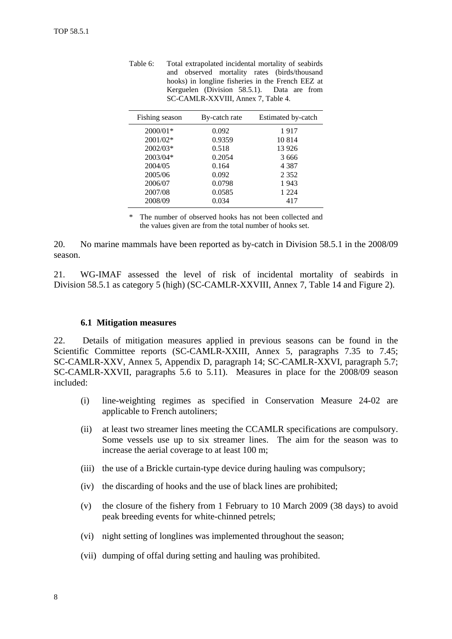<span id="page-9-0"></span>

| Total extrapolated incidental mortality of seabirds |  |  |  |  |  |  |
|-----------------------------------------------------|--|--|--|--|--|--|
| and observed mortality rates (birds/thousand        |  |  |  |  |  |  |
| hooks) in longline fisheries in the French EEZ at   |  |  |  |  |  |  |
| Kerguelen (Division 58.5.1). Data are from          |  |  |  |  |  |  |
| SC-CAMLR-XXVIII, Annex 7, Table 4.                  |  |  |  |  |  |  |
|                                                     |  |  |  |  |  |  |

| Fishing season | By-catch rate | Estimated by-catch |
|----------------|---------------|--------------------|
| $2000/01*$     | 0.092         | 1917               |
| 2001/02*       | 0.9359        | 10814              |
| 2002/03*       | 0.518         | 13 9 26            |
| 2003/04*       | 0.2054        | 3666               |
| 2004/05        | 0.164         | 4 3 8 7            |
| 2005/06        | 0.092         | 2 3 5 2            |
| 2006/07        | 0.0798        | 1943               |
| 2007/08        | 0.0585        | 1 2 2 4            |
| 2008/09        | 0.034         | 417                |

\* The number of observed hooks has not been collected and the values given are from the total number of hooks set.

20. No marine mammals have been reported as by-catch in Division 58.5.1 in the 2008/09 season.

21. WG-IMAF assessed the level of risk of incidental mortality of seabirds in Division 58.5.1 as category 5 (high) (SC-CAMLR-XXVIII, Annex 7, Table 14 and Figure 2).

### **6.1 Mitigation measures**

22. Details of mitigation measures applied in previous seasons can be found in the Scientific Committee reports (SC-CAMLR-XXIII, Annex 5, paragraphs 7.35 to 7.45; SC-CAMLR-XXV, Annex 5, Appendix D, paragraph 14; SC-CAMLR-XXVI, paragraph 5.7; SC-CAMLR-XXVII, paragraphs 5.6 to 5.11). Measures in place for the 2008/09 season included:

- (i) line-weighting regimes as specified in Conservation Measure 24-02 are applicable to French autoliners;
- (ii) at least two streamer lines meeting the CCAMLR specifications are compulsory. Some vessels use up to six streamer lines. The aim for the season was to increase the aerial coverage to at least 100 m;
- (iii) the use of a Brickle curtain-type device during hauling was compulsory;
- (iv) the discarding of hooks and the use of black lines are prohibited;
- (v) the closure of the fishery from 1 February to 10 March 2009 (38 days) to avoid peak breeding events for white-chinned petrels;
- (vi) night setting of longlines was implemented throughout the season;
- (vii) dumping of offal during setting and hauling was prohibited.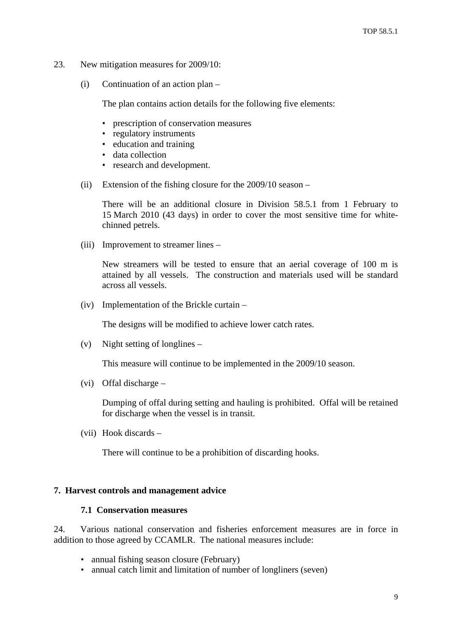- <span id="page-10-0"></span>23. New mitigation measures for 2009/10:
	- (i) Continuation of an action plan –

The plan contains action details for the following five elements:

- prescription of conservation measures
- regulatory instruments
- education and training
- data collection
- research and development.
- (ii) Extension of the fishing closure for the 2009/10 season –

 There will be an additional closure in Division 58.5.1 from 1 February to 15 March 2010 (43 days) in order to cover the most sensitive time for whitechinned petrels.

(iii) Improvement to streamer lines –

 New streamers will be tested to ensure that an aerial coverage of 100 m is attained by all vessels. The construction and materials used will be standard across all vessels.

(iv) Implementation of the Brickle curtain –

The designs will be modified to achieve lower catch rates.

(v) Night setting of longlines –

This measure will continue to be implemented in the 2009/10 season.

(vi) Offal discharge –

 Dumping of offal during setting and hauling is prohibited. Offal will be retained for discharge when the vessel is in transit.

(vii) Hook discards –

There will continue to be a prohibition of discarding hooks.

#### **7. Harvest controls and management advice**

### **7.1 Conservation measures**

24. Various national conservation and fisheries enforcement measures are in force in addition to those agreed by CCAMLR. The national measures include:

- annual fishing season closure (February)
- annual catch limit and limitation of number of longliners (seven)